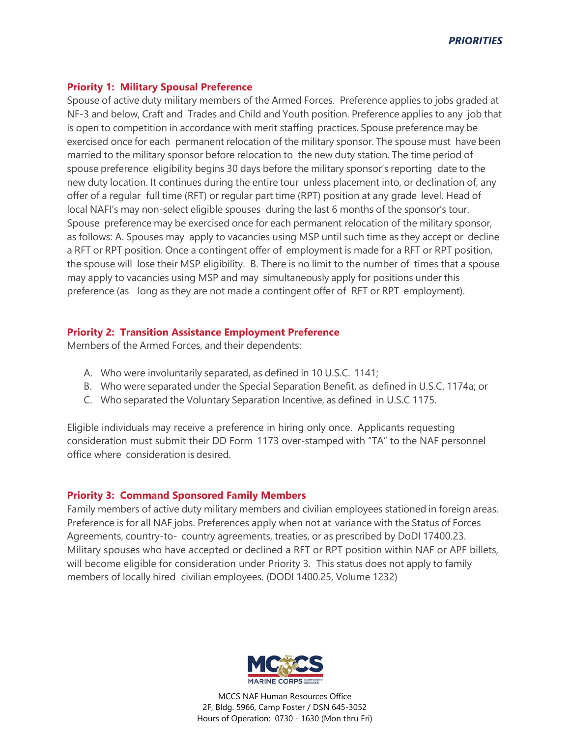## **Priority 1: Military Spousal Preference**

Spouse of active duty military members of the Armed Forces. Preference applies to jobs graded at NF-3 and below, Craft and Trades and Child and Youth position. Preference applies to any job that is open to competition in accordance with merit staffing practices. Spouse preference may be exercised once for each permanent relocation of the military sponsor. The spouse must have been married to the military sponsor before relocation to the new duty station. The time period of spouse preference eligibility begins 30 days before the military sponsor's reporting date to the new duty location. It continues during the entire tour unless placement into, or declination of, any offer of a regular full time (RFT) or regular part time (RPT) position at any grade level. Head of local NAFI's may non-select eligible spouses during the last 6 months of the sponsor's tour. Spouse preference may be exercised once for each permanent relocation of the military sponsor, as follows: A. Spouses may apply to vacancies using MSP until such time as they accept or decline a RFT or RPT position. Once a contingent offer of employment is made for a RFT or RPT position, the spouse will lose their MSP eligibility. B. There is no limit to the number of times that a spouse may apply to vacancies using MSP and may simultaneously apply for positions under this preference (as long as they are not made a contingent offer of RFT or RPT employment).

## **Priority 2: Transition Assistance Employment Preference**

Members of the Armed Forces, and their dependents:

- A. Who were involuntarily separated, as defined in 10 U.S.C. 1141;
- B. Who were separated under the Special Separation Benefit, as defined in U.S.C. 1174a; or
- C. Who separated the Voluntary Separation Incentive, as defined in U.S.C 1175.

Eligible individuals may receive a preference in hiring only once. Applicants requesting consideration must submit their DD Form 1173 over-stamped with "TA" to the NAF personnel office where consideration is desired.

## **Priority 3: Command Sponsored Family Members**

Family members of active duty military members and civilian employees stationed in foreign areas. Preference is for all NAF jobs. Preferences apply when not at variance with the Status of Forces Agreements, country-to- country agreements, treaties, or as prescribed by DoDI 17400.23. Military spouses who have accepted or declined a RFT or RPT position within NAF or APF billets, will become eligible for consideration under Priority 3. This status does not apply to family members of locally hired civilian employees. (DODI 1400.25, Volume 1232)



MCCS NAF Human Resources Office 2F, Bldg. 5966, Camp Foster / DSN 645-3052 Hours of Operation: 0730 - 1630 (Mon thru Fri)